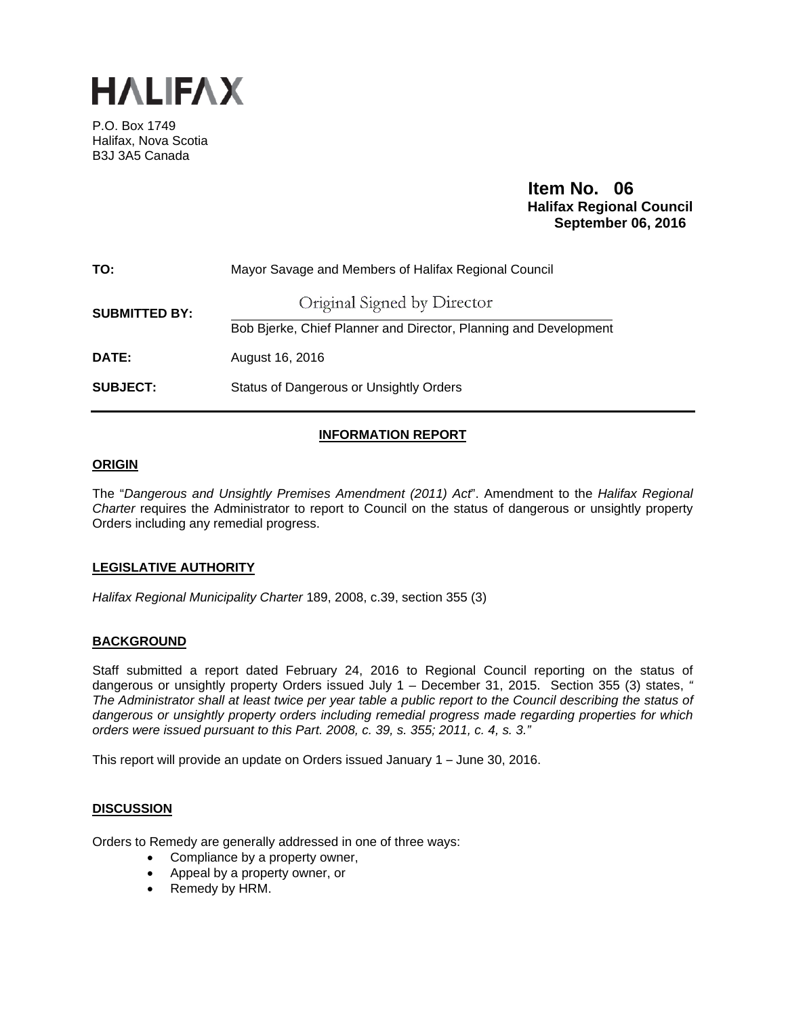

P.O. Box 1749 Halifax, Nova Scotia B3J 3A5 Canada

# **Item No. 06 Halifax Regional Council September 06, 2016**

| TO:                  | Mayor Savage and Members of Halifax Regional Council             |
|----------------------|------------------------------------------------------------------|
| <b>SUBMITTED BY:</b> | Original Signed by Director                                      |
|                      | Bob Bjerke, Chief Planner and Director, Planning and Development |
| DATE:                | August 16, 2016                                                  |
| <b>SUBJECT:</b>      | Status of Dangerous or Unsightly Orders                          |

## **INFORMATION REPORT**

### **ORIGIN**

The "*Dangerous and Unsightly Premises Amendment (2011) Act*". Amendment to the *Halifax Regional Charter* requires the Administrator to report to Council on the status of dangerous or unsightly property Orders including any remedial progress.

### **LEGISLATIVE AUTHORITY**

*Halifax Regional Municipality Charter* 189, 2008, c.39, section 355 (3)

### **BACKGROUND**

Staff submitted a report dated February 24, 2016 to Regional Council reporting on the status of dangerous or unsightly property Orders issued July 1 – December 31, 2015. Section 355 (3) states, *" The Administrator shall at least twice per year table a public report to the Council describing the status of dangerous or unsightly property orders including remedial progress made regarding properties for which orders were issued pursuant to this Part. 2008, c. 39, s. 355; 2011, c. 4, s. 3."* 

This report will provide an update on Orders issued January 1 – June 30, 2016.

### **DISCUSSION**

Orders to Remedy are generally addressed in one of three ways:

- Compliance by a property owner,
- Appeal by a property owner, or
- Remedy by HRM.